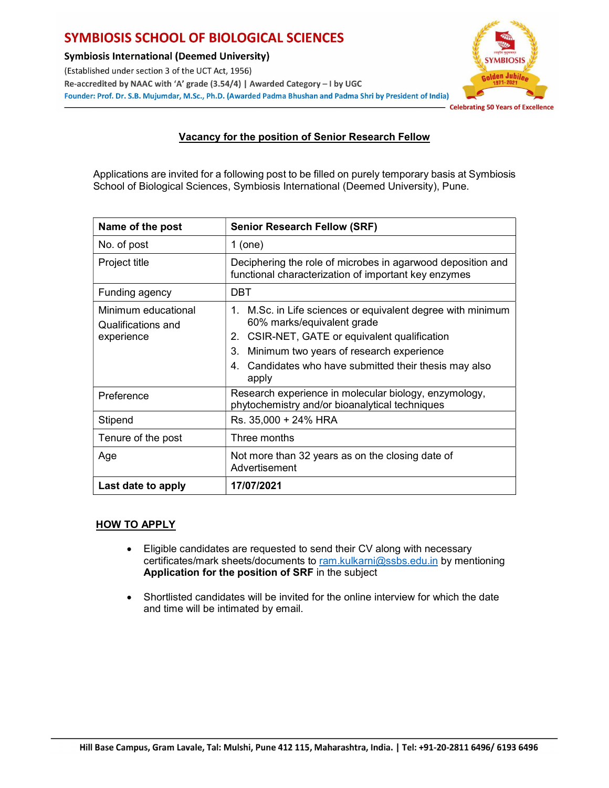## **SYMBIOSIS SCHOOL OF BIOLOGICAL SCIENCES**

**Symbiosis International (Deemed University)** 

(Established under section 3 of the UCT Act, 1956) Re-accredited by NAAC with 'A' grade (3.54/4) | Awarded Category - I by UGC Founder: Prof. Dr. S.B. Mujumdar, M.Sc., Ph.D. (Awarded Padma Bhushan and Padma Shri by President of India)



- Celebrating 50 Years of Excellence

## Vacancy for the position of Senior Research Fellow

Applications are invited for a following post to be filled on purely temporary basis at Symbiosis School of Biological Sciences, Symbiosis International (Deemed University), Pune.

| Name of the post                          | <b>Senior Research Fellow (SRF)</b>                                                                                 |
|-------------------------------------------|---------------------------------------------------------------------------------------------------------------------|
| No. of post                               | $1$ (one)                                                                                                           |
| Project title                             | Deciphering the role of microbes in agarwood deposition and<br>functional characterization of important key enzymes |
| Funding agency                            | <b>DBT</b>                                                                                                          |
| Minimum educational<br>Qualifications and | M.Sc. in Life sciences or equivalent degree with minimum<br>1.<br>60% marks/equivalent grade                        |
| experience                                | CSIR-NET, GATE or equivalent qualification<br>2.                                                                    |
|                                           | Minimum two years of research experience<br>3.                                                                      |
|                                           | Candidates who have submitted their thesis may also<br>4.<br>apply                                                  |
| Preference                                | Research experience in molecular biology, enzymology,<br>phytochemistry and/or bioanalytical techniques             |
| Stipend                                   | Rs. 35,000 + 24% HRA                                                                                                |
| Tenure of the post                        | Three months                                                                                                        |
| Age                                       | Not more than 32 years as on the closing date of<br>Advertisement                                                   |
| Last date to apply                        | 17/07/2021                                                                                                          |

## **HOW TO APPLY**

- Eligible candidates are requested to send their CV along with necessary certificates/mark sheets/documents to ram.kulkarni@ssbs.edu.in by mentioning Application for the position of SRF in the subject
- Shortlisted candidates will be invited for the online interview for which the date and time will be intimated by email.